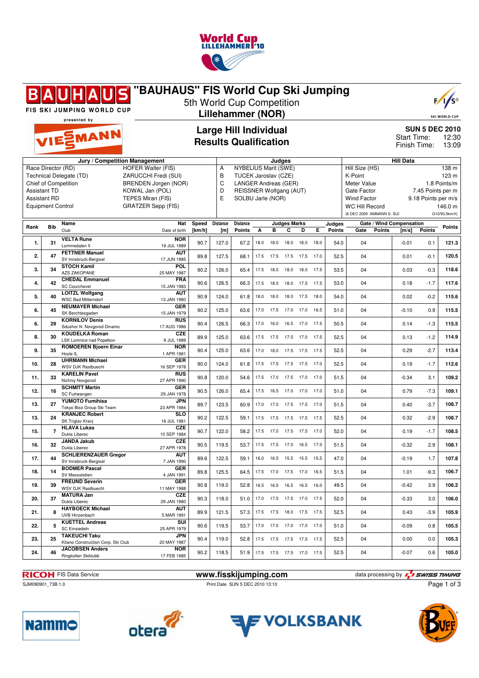

#### **"BAUHAUS" FIS World Cup Ski Jumping**  $F/I$ 5th World Cup Competition FIS SKI JUMPING WORLD CUP **Lillehammer (NOR)** SKI WORLD CU presented by **Large Hill Individual SUN 5 DEC 2010** EMANN Start Time: 12:30 **Results Qualification** Finish Time: 13:09 **Jury / Competition Management Judges Hill Data** Race Director (RD) HOFER Walter (FIS) A NYBELIUS Marit (SWE) Hill Size (HS) 138 m Technical Delegate (TD) ZARUCCHI Fredi (SUI) B TUCEK Jaroslav (CZE) K-Point 123 m Meter Value 1.8 Points/m Chief of Competition BRENDEN Jorgen (NOR) C LANGER Andreas (GER) D REISSNER Wolfgang (AUT) Assistant TD KOWAL Jan (POL) Gate Factor 7.45 Points per m Assistant RD TEPES Miran (FIS)<br>Equipment Control GRATZER Sepp (F E SOLBU Jarle (NOR) Wind Factor 9.18 Points per m/s<br>WC Hill Record 146.0 m GRATZER Sepp (FIS) WC Hill Record (6 DEC 2009 AMMANN S. SUI G10/93.5km/h) **Rank Bib Name Judges Marks Judges Nat Speed Distance Distance Gate / Wind Compensation Gate Points [m/s] Points Points Points** Club Date of birth **[km/h] [m] Points A B C D E 1. 31 VELTA Rune NOR** 19 JUL 1989 90.7 127.0 67.2 18.0 18.0 18.0 18.0 18.0 54.0 04 -0.01 0.1 **121.3** Lommedalen Il **AUT** 2. 47 **FETTNER Manuel**<br>SV Innsbruck-Bergisel 17 JUN 1985 89.8 127.5 68.1 17.5 17.5 17.5 17.5 17.0 52.5 04 0.01 -0.1 **120.5 POL**<br>25 MAY 1987 **3. 34 STOCH Kamil** AZS ZAKOPANE 25 MAY 1987 90.2 126.0 65.4 17.5 18.0 18.0 18.0 17.5 53.5 04 0.03 -0.3 **118.6 4. 42 CHEDAL Emmanuel FRA**<br>15 JAN 1983 15 JAN 1983 90.6 126.5 66.3 17.5 18.0 18.0 17.5 17.5 53.0 04 0.18 -1.7 **117.6** SC Courchevel **5. 40 LOITZL Wolfgang AUT** 13 JAN 1980 90.9 124.0 61.8 18.0 18.0 18.0 17.5 18.0 54.0 04 0.02 -0.2 **115.6** WSC Bad Mitterndor **6. 45 NEUMAYER Michael GER** 15 JAN 1979 90.2 125.0 63.6 17.0 17.5 17.0 17.0 16.5 51.0 04 -0.10 0.9 **115.5** SK Berchtesgaden **6. 29 KORNILOV Denis RUS** 17 AUG 1986 90.4 126.5 66.3 17.0 16.0 16.5 17.0 17.5 50.5 04 0.14 -1.3 **115.5** Sdushor N. Novgorod Dinamo **8. 30 KOUDELKA Roman CZE** 9 JUL 1989 89.9 125.0 63.6 17.5 17.5 17.5 17.0 17.5 52.5 04 0.13 -1.2 **114.9** LSK Lomnice nad Popelkov **9. 35 ROMOEREN Bjoern Einar NOR** 1 APR 1981 90.4 125.0 63.6 17.0 18.0 17.5 17.5 17.5 52.5 04 0.29 -2.7 **113.4** Hosle IL<br>**LIHRMANN Michael GER 10. 28 UHRMANN Michael** WSV DJK Rastbuechl 16 SEP 1978 90.0 124.0 61.8 17.5 17.5 17.5 17.5 17.0 52.5 04 0.19 -1.7 **112.6 11. 33 KARELIN Pavel RUS**<br>27 APR 1990 27 APR 1990 90.8 120.0 54.6 17.5 17.0 17.5 17.0 17.0 51.5 04 -0.34 3.1 **109.2** Nizhniy Novgorod **12. 16 SCHMITT Martin GER** 29 JAN 1978 90.5 126.0 65.4 17.5 16.5 17.0 17.0 17.0 51.0 04 0.79 -7.3 **109.1** SC Furtwangen **13. 27 YUMOTO Fumihisa JPN**<br>23 APR 1984 23 APR 1984 89.7 123.5 60.9 17.0 17.0 17.5 17.5 17.0 51.5 04 0.40 -3.7 **108.7** Tokyo Biso Group Ski Team **13. 24 KRANJEC Robert SLO** 16 JUL 1981 90.2 122.5 59.1 17.5 17.5 17.5 17.5 17.5 52.5 04 0.32 -2.9 **108.7** SK Triglav Kranj **15. 7 HLAVA Lukas** CZE<br>10 SEP 1984 10 SEP 1984 90.7 122.0 58.2 17.5 17.0 17.5 17.5 17.0 52.0 04 0.19 -1.7 **108.5** Dukla Liberec **16. 32 JANDA Jakub CZE** 27 APR 1978 90.5 119.5 53.7 17.5 17.5 17.0 16.5 17.0 51.5 04 -0.32 2.9 **108.1** Dukla Libere **17. 44 SCHLIERENZAUER Gregor AUT**<br>7 JAN 1990 7 JAN 1990 89.6 122.5 59.1 16.0 16.5 15.5 15.5 15.5 47.0 04 -0.19 1.7 **107.8** SV Innsbruck-Bergisel **18. 14 BODMER Pascal GER**<br>4.IAN 1991 4 JAN 1991 89.8 125.5 64.5 17.5 17.0 17.5 17.0 16.5 51.5 04 1.01 -9.3 **106.7** SV Messstetten **19. 39 FREUND Severin GER** 11 MAY 1988 90.8 119.0 52.8 16.5 16.5 16.5 16.5 16.0 49.5 04 -0.42 3.9 **106.2** WSV DJK Rastbuechl **20. 37 MATURA Jan CZE**<br>29 JAN 1980 29 JAN 1980 90.3 118.0 51.0 17.0 17.5 17.5 17.0 17.5 52.0 04 -0.33 3.0 **106.0** Dukla Libere **21. 8 HAYBOECK** Michael **AUT**<br>5 MAR 1991 UVB Hinzenbach 5 MAR 1991 89.9 121.5 57.3 17.5 17.5 18.0 17.5 17.5 52.5 04 0.43 -3.9 **105.9 22. 5 KUETTEL Andreas SUI** 25 APR 1979 90.6 119.5 53.7 17.0 17.0 17.0 17.0 17.0 51.0 04 -0.09 0.8 **105.5** SC Einsiedeln **23.** 25 **TAKEUCHI Taku JPN**<br>20 MAY 1987 20 MAY 1987 90.4 119.0 52.8 17.5 17.5 17.5 17.5 17.5 52.5 04 0.00 0.0 **105.3** Kitano Construction Corp. Ski Club **24. 46 JACOBSEN Anders NOR**<br>17 FEB 1985 17 FEB 1985 90.2 118.5 51.9 17.5 17.5 17.5 17.0 17.5 52.5 04 -0.07 0.6 **105.0** Ringkollen Skiklubb

SJM090901\_73B 1.0 **Print Date SUN 5 DEC 2010 13:10** Print Date SUN 5 DEC 2010 13:10

**RICOH** FIS Data Service **www.fisskijumping.com** data processing by  $\frac{7}{4}$  swiss TIMING Page 1 of 3







**Namme** 



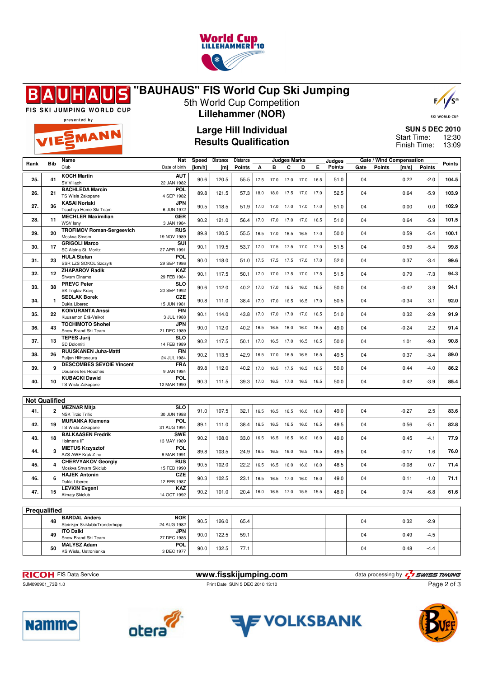

#### **"BAUHAUS" FIS World Cup Ski Jumping**  $\blacksquare$ Β



FIS SKI JUMPING WORLD CUP

EMANN

# **Lillehammer (NOR)**



SKI WORLD CUP

presented by

## **Large Hill Individual Results Qualification**

**SUN 5 DEC 2010** 12:30 13:09 Start Time: Finish Time:

|                      |                | Name                             | Speed<br><b>Distance</b><br>Nat<br>Distance<br><b>Judges Marks</b> |        |       |        |      |           | Gate / Wind Compensation<br>Judges |      |      |        |      |               |         |               |        |
|----------------------|----------------|----------------------------------|--------------------------------------------------------------------|--------|-------|--------|------|-----------|------------------------------------|------|------|--------|------|---------------|---------|---------------|--------|
| Rank                 | <b>Bib</b>     | Club                             | Date of birth                                                      | [km/h] | [m]   | Points | А    | B         | C                                  | D    | Е    | Points | Gate | <b>Points</b> | [m/s]   | <b>Points</b> | Points |
|                      |                |                                  |                                                                    |        |       |        |      |           |                                    |      |      |        |      |               |         |               |        |
| 25.                  | 41             | <b>KOCH Martin</b>               | <b>AUT</b>                                                         | 90.6   | 120.5 | 55.5   | 17.5 | 17.0      | 17.0                               | 17.0 | 16.5 | 51.0   | 04   |               | 0.22    | $-2.0$        | 104.5  |
|                      |                | SV Villach                       | 22 JAN 1982                                                        |        |       |        |      |           |                                    |      |      |        |      |               |         |               |        |
|                      |                | <b>BACHLEDA Marcin</b>           | POL.                                                               |        | 121.5 |        | 18.0 | 18.0      |                                    | 17.0 | 17.0 | 52.5   |      |               |         | $-5.9$        | 103.9  |
| 26.                  | 21             | TS Wisla Zakopane                | 4 SEP 1982                                                         | 89.8   |       | 57.3   |      |           | 17.5                               |      |      |        | 04   |               | 0.64    |               |        |
|                      |                | <b>KASAI Noriaki</b>             | JPN                                                                |        |       |        |      |           |                                    |      |      |        |      |               |         |               |        |
| 27.                  | 36             | Tsuchiya Home Ski Team           | 6 JUN 1972                                                         | 90.5   | 118.5 | 51.9   | 17.0 | 17.0      | 17.0                               | 17.0 | 17.0 | 51.0   | 04   |               | 0.00    | 0.0           | 102.9  |
|                      |                | <b>MECHLER Maximilian</b>        | GER                                                                |        |       |        |      |           |                                    |      |      |        |      |               |         |               |        |
| 28.                  | 11             | WSV Isny                         | 3 JAN 1984                                                         | 90.2   | 121.0 | 56.4   | 17.0 | 17.0      | 17.0                               | 17.0 | 16.5 | 51.0   | 04   |               | 0.64    | $-5.9$        | 101.5  |
|                      |                | <b>TROFIMOV Roman-Sergeevich</b> | <b>RUS</b>                                                         |        |       |        |      |           |                                    |      |      |        |      |               |         |               |        |
| 29.                  | 20             | Moskva Shvsm                     | 19 NOV 1989                                                        | 89.8   | 120.5 | 55.5   | 16.5 | 17.0      | 16.5                               | 16.5 | 17.0 | 50.0   | 04   |               | 0.59    | $-5.4$        | 100.1  |
|                      |                | <b>GRIGOLI Marco</b>             | SUI                                                                |        |       |        |      |           |                                    |      |      |        |      |               |         |               |        |
| 30.                  | 17             | SC Alpina St. Moritz             | 27 APR 1991                                                        | 90.1   | 119.5 | 53.7   | 17.0 | 17.5      | 17.5 17.0                          |      | 17.0 | 51.5   | 04   |               | 0.59    | $-5.4$        | 99.8   |
|                      |                | <b>HULA Stefan</b>               | <b>POL</b>                                                         |        |       |        |      |           |                                    |      |      |        |      |               |         |               |        |
| 31.                  | 23             |                                  |                                                                    | 90.0   | 118.0 | 51.0   | 17.5 | 17.5      | 17.5                               | 17.0 | 17.0 | 52.0   | 04   |               | 0.37    | $-3.4$        | 99.6   |
|                      |                | SSR LZS SOKOL Szczyrk            | 29 SEP 1986                                                        |        |       |        |      |           |                                    |      |      |        |      |               |         |               |        |
| 32.                  | 12             | <b>ZHAPAROV Radik</b>            | <b>KAZ</b>                                                         | 90.1   | 117.5 | 50.1   | 17.0 | 17.0      | 17.5 17.0                          |      | 17.5 | 51.5   | 04   |               | 0.79    | $-7.3$        | 94.3   |
|                      |                | Shysm Dinamo                     | 29 FEB 1984                                                        |        |       |        |      |           |                                    |      |      |        |      |               |         |               |        |
| 33.                  | 38             | <b>PREVC Peter</b>               | <b>SLO</b>                                                         | 90.6   | 112.0 | 40.2   | 17.0 | 17.0      | 16.5                               | 16.0 | 16.5 | 50.0   | 04   |               | $-0.42$ | 3.9           | 94.1   |
|                      |                | SK Triglav Kranj                 | 20 SEP 1992                                                        |        |       |        |      |           |                                    |      |      |        |      |               |         |               |        |
| 34.                  | $\mathbf{1}$   | <b>SEDLAK Borek</b>              | CZE                                                                | 90.8   | 111.0 | 38.4   | 17.0 | 17.0      | 16.5 16.5                          |      | 17.0 | 50.5   | 04   |               | $-0.34$ | 3.1           | 92.0   |
|                      |                | Dukla Liberec                    | 15 JUN 1981                                                        |        |       |        |      |           |                                    |      |      |        |      |               |         |               |        |
|                      | 22             | <b>KOIVURANTA Anssi</b>          | <b>FIN</b>                                                         |        |       |        | 17.0 | 17.0      | 17.0                               | 17.0 | 16.5 |        |      |               |         |               | 91.9   |
| 35.                  |                | Kuusamon Erä-Veikot              | 3 JUL 1988                                                         | 90.1   | 114.0 | 43.8   |      |           |                                    |      |      | 51.0   | 04   |               | 0.32    | $-2.9$        |        |
|                      |                | <b>TOCHIMOTO Shohei</b>          | JPN                                                                |        |       |        |      |           |                                    |      |      |        |      |               |         |               |        |
| 36.                  | 43             | Snow Brand Ski Team              | 21 DEC 1989                                                        | 90.0   | 112.0 | 40.2   | 16.5 | 16.5      | 16.0                               | 16.0 | 16.5 | 49.0   | 04   |               | $-0.24$ | 2.2           | 91.4   |
|                      |                | <b>TEPES Jurij</b>               | <b>SLO</b>                                                         |        |       |        |      |           |                                    |      |      |        |      |               |         |               |        |
| 37.                  | 13             | SD Dolomiti                      | 14 FEB 1989                                                        | 90.2   | 117.5 | 50.1   | 17.0 | 16.5      | 17.0                               | 16.5 | 16.5 | 50.0   | 04   |               | 1.01    | $-9.3$        | 90.8   |
|                      |                | <b>RUUSKANEN Juha-Matti</b>      | <b>FIN</b>                                                         |        |       |        |      |           |                                    |      |      |        |      |               |         |               |        |
| 38.                  | 26             | Puijon Hiihtoseura               | 24 JUL 1984                                                        | 90.2   | 113.5 | 42.9   |      | 16.5 17.0 | 16.5 16.5                          |      | 16.5 | 49.5   | 04   |               | 0.37    | $-3.4$        | 89.0   |
|                      |                | <b>DESCOMBES SEVOIE Vincent</b>  | <b>FRA</b>                                                         |        |       |        |      |           |                                    |      |      |        |      |               |         |               |        |
| 39.                  | 9              |                                  |                                                                    | 89.8   | 112.0 | 40.2   | 17.0 | 16.5      | 17.5                               | 16.5 | 16.5 | 50.0   | 04   |               | 0.44    | $-4.0$        | 86.2   |
|                      |                | Douanes les Houches              | 9 JAN 1984                                                         |        |       |        |      |           |                                    |      |      |        |      |               |         |               |        |
| 40.                  | 10             | <b>KUBACKI Dawid</b>             | POL                                                                | 90.3   | 111.5 | 39.3   |      |           | 17.0  16.5  17.0  16.5             |      | 16.5 | 50.0   | 04   |               | 0.42    | $-3.9$        | 85.4   |
|                      |                | TS Wisla Zakopane                | 12 MAR 1990                                                        |        |       |        |      |           |                                    |      |      |        |      |               |         |               |        |
|                      |                |                                  |                                                                    |        |       |        |      |           |                                    |      |      |        |      |               |         |               |        |
| <b>Not Qualified</b> |                |                                  |                                                                    |        |       |        |      |           |                                    |      |      |        |      |               |         |               |        |
|                      |                | <b>MEZNAR Mitja</b>              | <b>SLO</b>                                                         |        |       |        |      |           |                                    |      |      |        |      |               |         |               |        |
| 41.                  | $\overline{2}$ | <b>NSK Trzic Trifix</b>          | 30 JUN 1988                                                        | 91.0   | 107.5 | 32.1   | 16.5 | 16.5      | 16.5                               | 16.0 | 16.0 | 49.0   | 04   |               | $-0.27$ | 2.5           | 83.6   |
|                      |                | <b>MURANKA Klemens</b>           | <b>POL</b>                                                         |        |       |        |      |           |                                    |      |      |        |      |               |         |               |        |
| 42.                  | 19             | TS Wisla Zakopane                | 31 AUG 1994                                                        | 89.1   | 111.0 | 38.4   | 16.5 | 16.5      | 16.5                               | 16.0 | 16.5 | 49.5   | 04   |               | 0.56    | $-5.1$        | 82.8   |
|                      |                | <b>BALKAASEN Fredrik</b>         | <b>SWE</b>                                                         |        |       |        |      |           |                                    |      |      |        |      |               |         |               |        |
| 43.                  | 18             | Holmens IF                       | 13 MAY 1989                                                        | 90.2   | 108.0 | 33.0   | 16.5 | 16.5      | 16.5                               | 16.0 | 16.0 | 49.0   | 04   |               | 0.45    | $-4.1$        | 77.9   |
|                      |                | <b>MIETUS Krzysztof</b>          | <b>POL</b>                                                         |        |       |        |      |           |                                    |      |      |        |      |               |         |               |        |
| 44.                  | 3              | AZS AWF Krak Z-ne                | 8 MAR 1991                                                         | 89.8   | 103.5 | 24.9   | 16.5 | 16.5      | 16.0                               | 16.5 | 16.5 | 49.5   | 04   |               | $-0.17$ | 1.6           | 76.0   |
|                      |                |                                  | <b>RUS</b>                                                         |        |       |        |      |           |                                    |      |      |        |      |               |         |               |        |
| 45.                  | 4              | <b>CHERVYAKOV Georgiy</b>        |                                                                    | 90.5   | 102.0 | 22.2   | 16.5 | 16.5      | 16.0                               | 16.0 | 16.0 | 48.5   | 04   |               | $-0.08$ | 0.7           | 71.4   |
|                      |                | Moskva Shvsm Skiclub             | 15 FEB 1990                                                        |        |       |        |      |           |                                    |      |      |        |      |               |         |               |        |
| 46.                  | 6              | <b>HAJEK Antonin</b>             | <b>CZE</b>                                                         | 90.3   | 102.5 | 23.1   | 16.5 | 16.5      | 17.0                               | 16.0 | 16.0 | 49.0   | 04   |               | 0.11    | $-1.0$        | 71.1   |
|                      |                | Dukla Liberec                    | 12 FEB 1987                                                        |        |       |        |      |           |                                    |      |      |        |      |               |         |               |        |
| 47.                  | 15             | <b>LEVKIN Evgeni</b>             | KAZ                                                                | 90.2   | 101.0 | 20.4   |      |           | 16.0  16.5  17.0  15.5  15.5       |      |      | 48.0   | 04   |               | 0.74    | $-6.8$        | 61.6   |
|                      |                | <b>Almaty Skiclub</b>            | 14 OCT 1992                                                        |        |       |        |      |           |                                    |      |      |        |      |               |         |               |        |
|                      |                |                                  |                                                                    |        |       |        |      |           |                                    |      |      |        |      |               |         |               |        |
| Prequalified         |                |                                  |                                                                    |        |       |        |      |           |                                    |      |      |        |      |               |         |               |        |
|                      |                | <b>BARDAL Anders</b>             | <b>NOR</b>                                                         |        |       |        |      |           |                                    |      |      |        |      |               |         |               |        |
|                      | 48             | Steinkjer Skiklubb/Tronderhopp   | 24 AUG 1982                                                        | 90.5   | 126.0 | 65.4   |      |           |                                    |      |      |        | 04   |               | 0.32    | $-2.9$        |        |
|                      |                | <b>ITO Daiki</b>                 | JPN                                                                |        |       |        |      |           |                                    |      |      |        |      |               |         |               |        |
|                      | 49             | Snow Brand Ski Team              | 27 DEC 1985                                                        | 90.0   | 122.5 | 59.1   |      |           |                                    |      |      |        | 04   |               | 0.49    | $-4.5$        |        |
|                      |                | <b>MALYSZ Adam</b>               | POL                                                                |        |       |        |      |           |                                    |      |      |        |      |               |         |               |        |
|                      | 50             | KS Wisla, Ustronianka            | 3 DEC 1977                                                         | 90.0   | 132.5 | 77.1   |      |           |                                    |      |      |        | 04   |               | 0.48    | $-4.4$        |        |
|                      |                |                                  |                                                                    |        |       |        |      |           |                                    |      |      |        |      |               |         |               |        |



SJM090901\_73B 1.0 Print Date SUN 5 DEC 2010 13:10

**RICOH** FIS Data Service **www.fisskijumping.com** data processing by  $\frac{7}{2}$  **swiss TIMING** Page 2 of 3